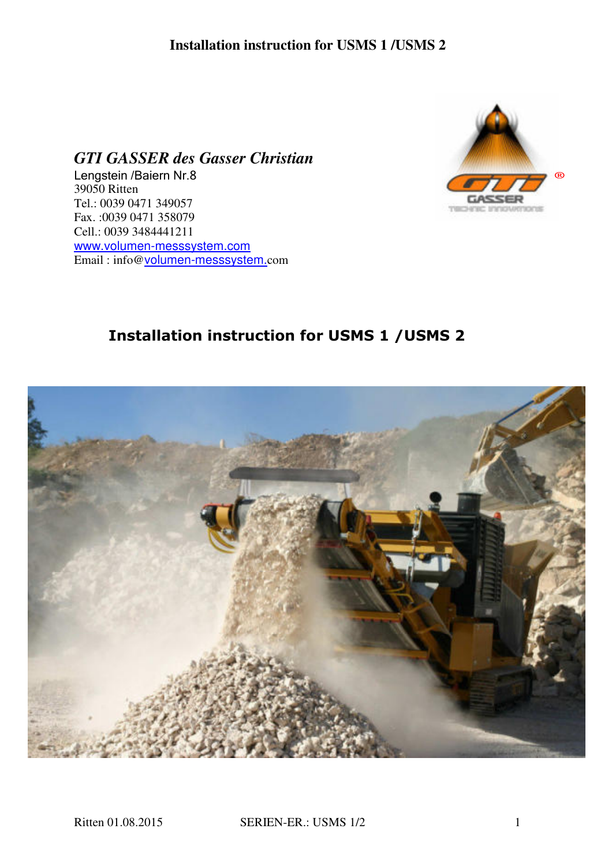#### *GTI GASSER des Gasser Christian*  Lengstein /Baiern Nr.8 **®** 39050 Ritten Tel.: 0039 0471 349057 Fax. :0039 0471 358079 Cell.: 0039 3484441211 www.volumen-messsystem.com Email : info@volumen-messsystem.com



### **Installation instruction for USMS 1 /USMS 2**

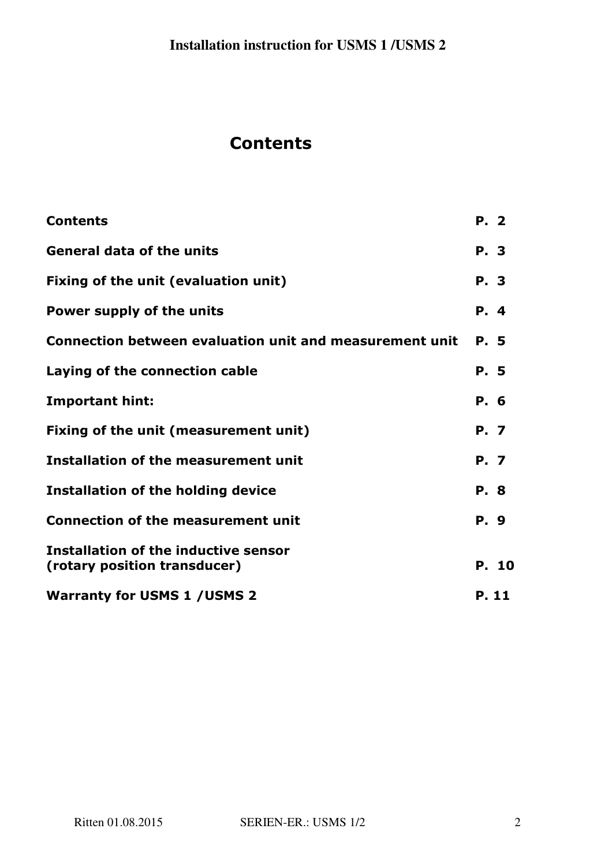## **Contents**

| <b>Contents</b>                                                             | P. 2        |
|-----------------------------------------------------------------------------|-------------|
| <b>General data of the units</b>                                            | P. 3        |
| Fixing of the unit (evaluation unit)                                        | P. 3        |
| Power supply of the units                                                   | P. 4        |
| Connection between evaluation unit and measurement unit                     | P. 5        |
| Laying of the connection cable                                              | P. 5        |
| <b>Important hint:</b>                                                      | P. 6        |
| Fixing of the unit (measurement unit)                                       | <b>P.</b> 7 |
| Installation of the measurement unit                                        | <b>P.</b> 7 |
| <b>Installation of the holding device</b>                                   | P. 8        |
| <b>Connection of the measurement unit</b>                                   | P. 9        |
| <b>Installation of the inductive sensor</b><br>(rotary position transducer) | P. 10       |
| <b>Warranty for USMS 1 / USMS 2</b>                                         | P. 11       |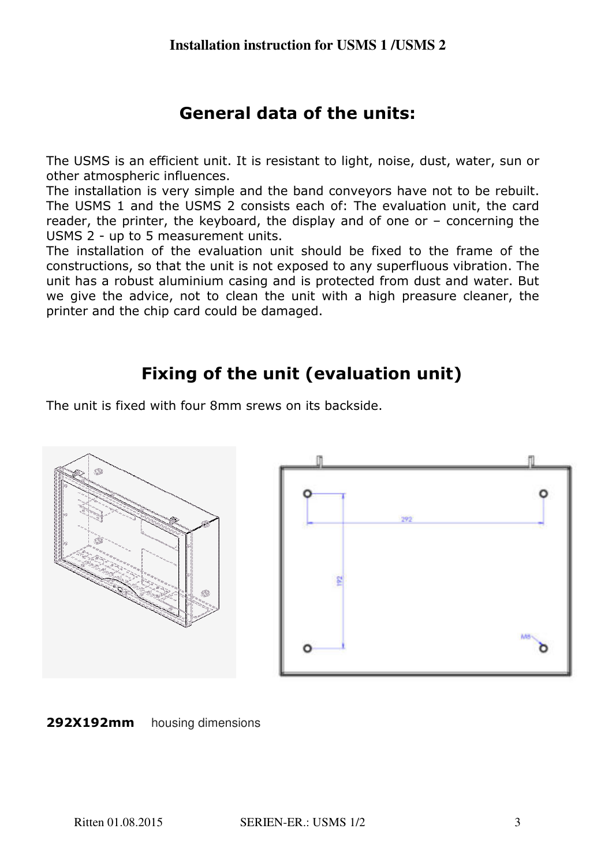## **General data of the units:**

The USMS is an efficient unit. It is resistant to light, noise, dust, water, sun or other atmospheric influences.

The installation is very simple and the band conveyors have not to be rebuilt. The USMS 1 and the USMS 2 consists each of: The evaluation unit, the card reader, the printer, the keyboard, the display and of one or – concerning the USMS 2 - up to 5 measurement units.

The installation of the evaluation unit should be fixed to the frame of the constructions, so that the unit is not exposed to any superfluous vibration. The unit has a robust aluminium casing and is protected from dust and water. But we give the advice, not to clean the unit with a high preasure cleaner, the printer and the chip card could be damaged.

# **Fixing of the unit (evaluation unit)**

The unit is fixed with four 8mm srews on its backside.





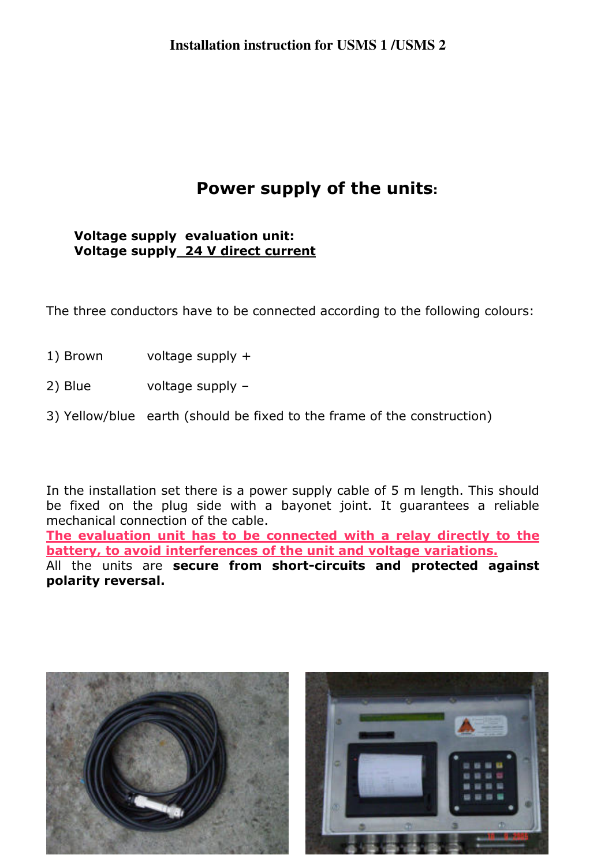## **Power supply of the units:**

#### **Voltage supply evaluation unit: Voltage supply 24 V direct current**

The three conductors have to be connected according to the following colours:

- 1) Brown voltage supply +
- 2) Blue voltage supply –
- 3) Yellow/blue earth (should be fixed to the frame of the construction)

In the installation set there is a power supply cable of 5 m length. This should be fixed on the plug side with a bayonet joint. It guarantees a reliable mechanical connection of the cable.

**The evaluation unit has to be connected with a relay directly to the battery, to avoid interferences of the unit and voltage variations.** 

All the units are **secure from short-circuits and protected against polarity reversal.** 



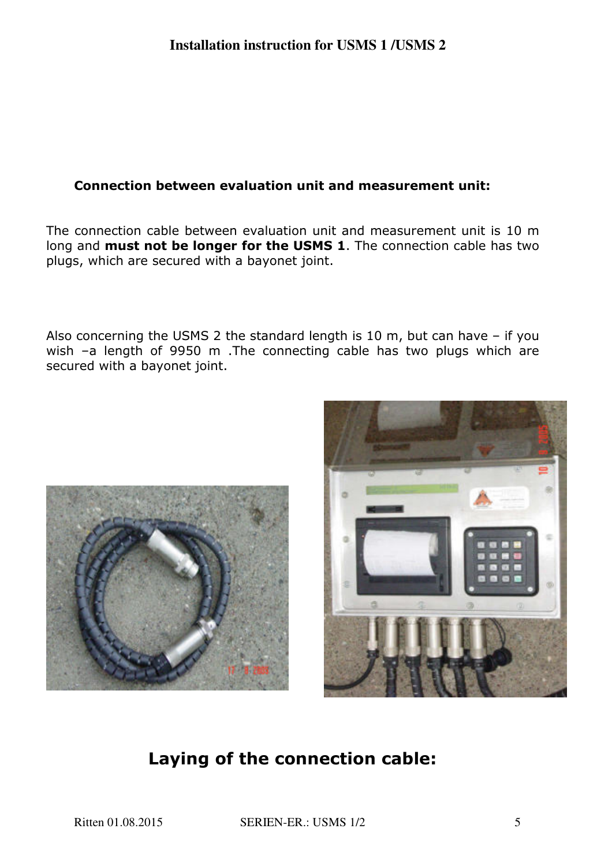#### **Connection between evaluation unit and measurement unit:**

The connection cable between evaluation unit and measurement unit is 10 m long and **must not be longer for the USMS 1**. The connection cable has two plugs, which are secured with a bayonet joint.

Also concerning the USMS 2 the standard length is 10 m, but can have – if you wish –a length of 9950 m .The connecting cable has two plugs which are secured with a bayonet joint.





# **Laying of the connection cable:**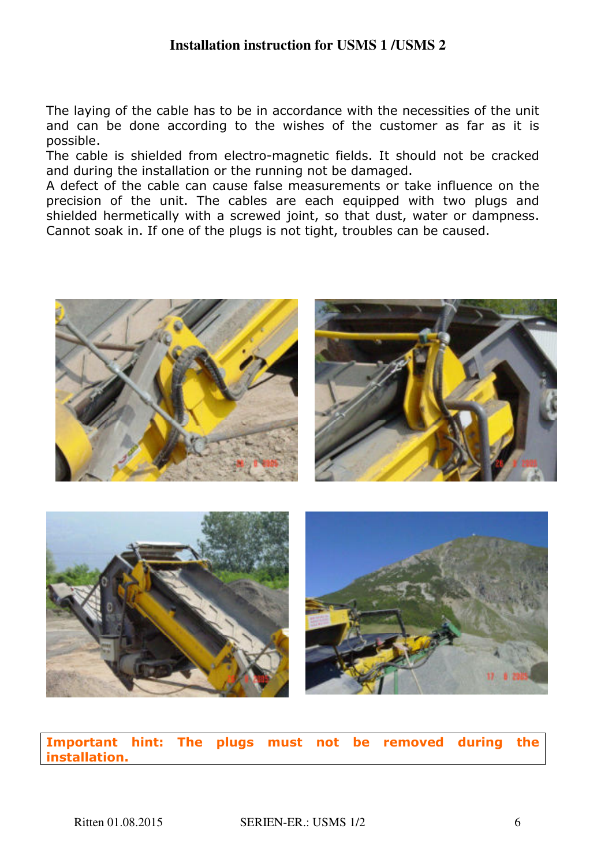The laying of the cable has to be in accordance with the necessities of the unit and can be done according to the wishes of the customer as far as it is possible.

The cable is shielded from electro-magnetic fields. It should not be cracked and during the installation or the running not be damaged.

A defect of the cable can cause false measurements or take influence on the precision of the unit. The cables are each equipped with two plugs and shielded hermetically with a screwed joint, so that dust, water or dampness. Cannot soak in. If one of the plugs is not tight, troubles can be caused.



**Important hint: The plugs must not be removed during the installation.**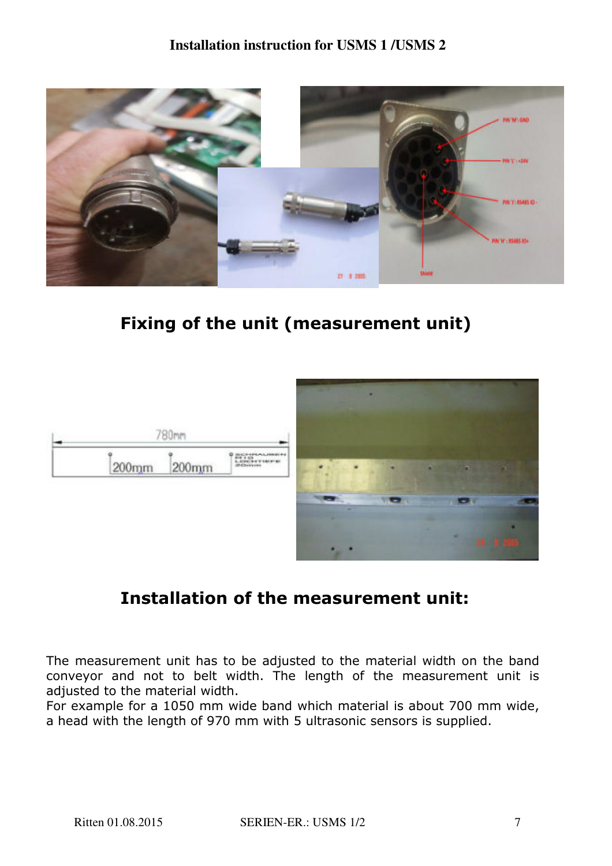

# **Fixing of the unit (measurement unit)**



# **Installation of the measurement unit:**

The measurement unit has to be adjusted to the material width on the band conveyor and not to belt width. The length of the measurement unit is adjusted to the material width.

For example for a 1050 mm wide band which material is about 700 mm wide, a head with the length of 970 mm with 5 ultrasonic sensors is supplied.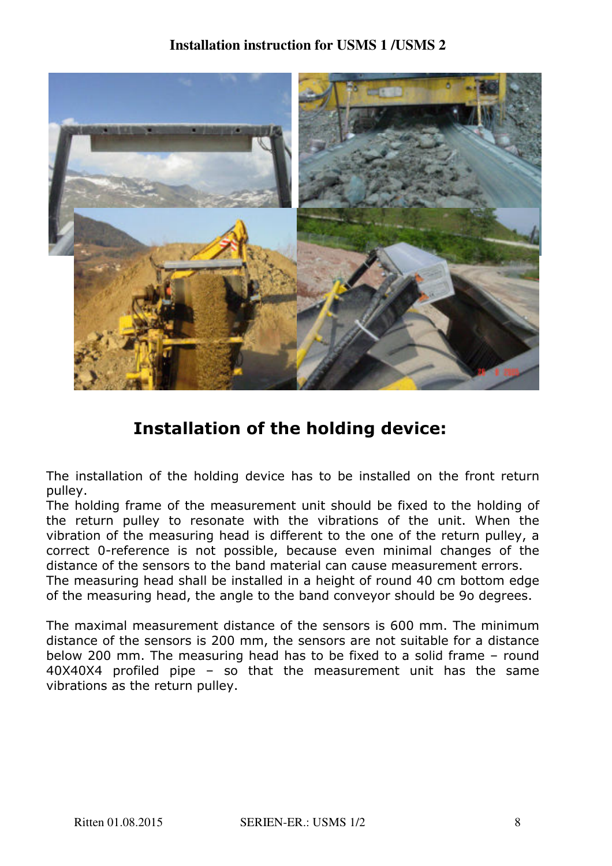#### **Installation instruction for USMS 1 /USMS 2**



## **Installation of the holding device:**

The installation of the holding device has to be installed on the front return pulley.

The holding frame of the measurement unit should be fixed to the holding of the return pulley to resonate with the vibrations of the unit. When the vibration of the measuring head is different to the one of the return pulley, a correct 0-reference is not possible, because even minimal changes of the distance of the sensors to the band material can cause measurement errors. The measuring head shall be installed in a height of round 40 cm bottom edge of the measuring head, the angle to the band conveyor should be 9o degrees.

The maximal measurement distance of the sensors is 600 mm. The minimum distance of the sensors is 200 mm, the sensors are not suitable for a distance below 200 mm. The measuring head has to be fixed to a solid frame – round 40X40X4 profiled pipe – so that the measurement unit has the same vibrations as the return pulley.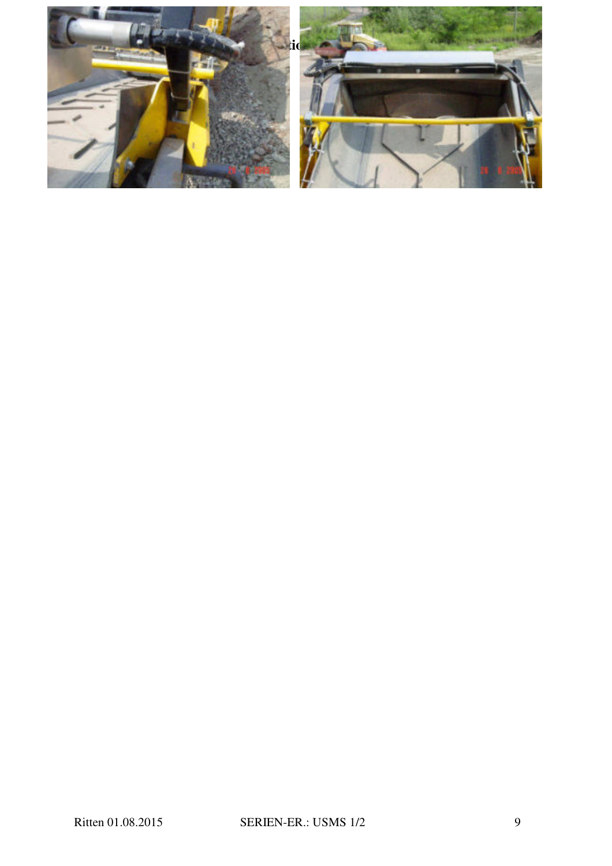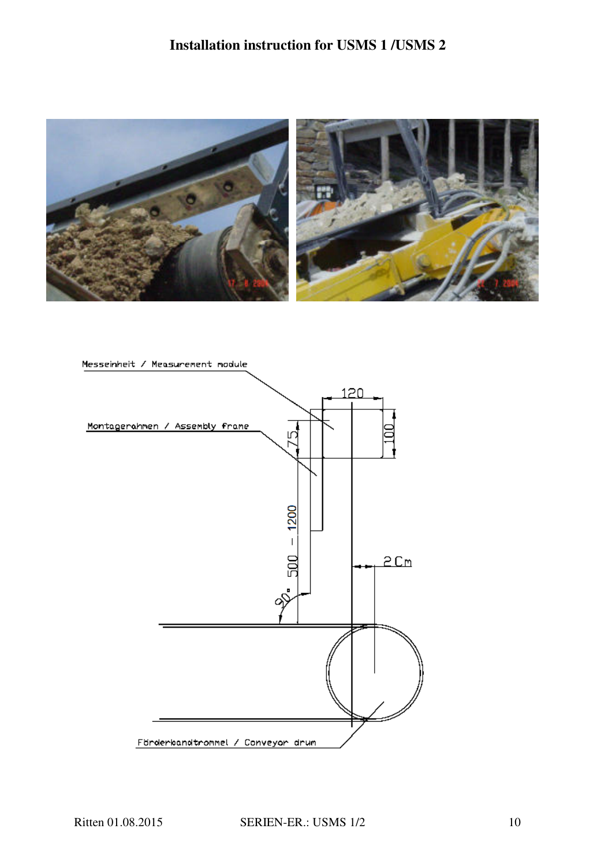

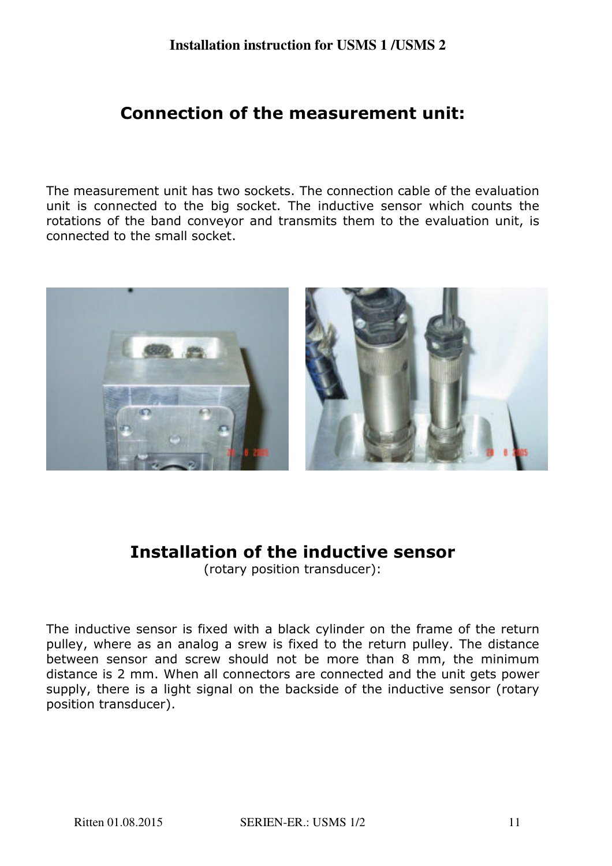#### **Installation instruction for USMS 1 /USMS 2**

### **Connection of the measurement unit:**

The measurement unit has two sockets. The connection cable of the evaluation unit is connected to the big socket. The inductive sensor which counts the rotations of the band conveyor and transmits them to the evaluation unit, is connected to the small socket.



## **Installation of the inductive sensor**

(rotary position transducer):

The inductive sensor is fixed with a black cylinder on the frame of the return pulley, where as an analog a srew is fixed to the return pulley. The distance between sensor and screw should not be more than 8 mm, the minimum distance is 2 mm. When all connectors are connected and the unit gets power supply, there is a light signal on the backside of the inductive sensor (rotary position transducer).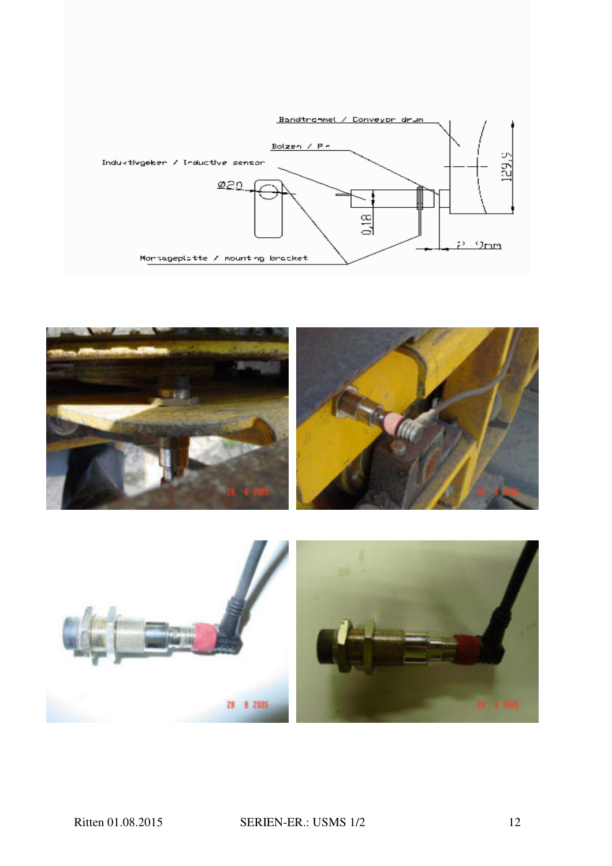



28 8 2005